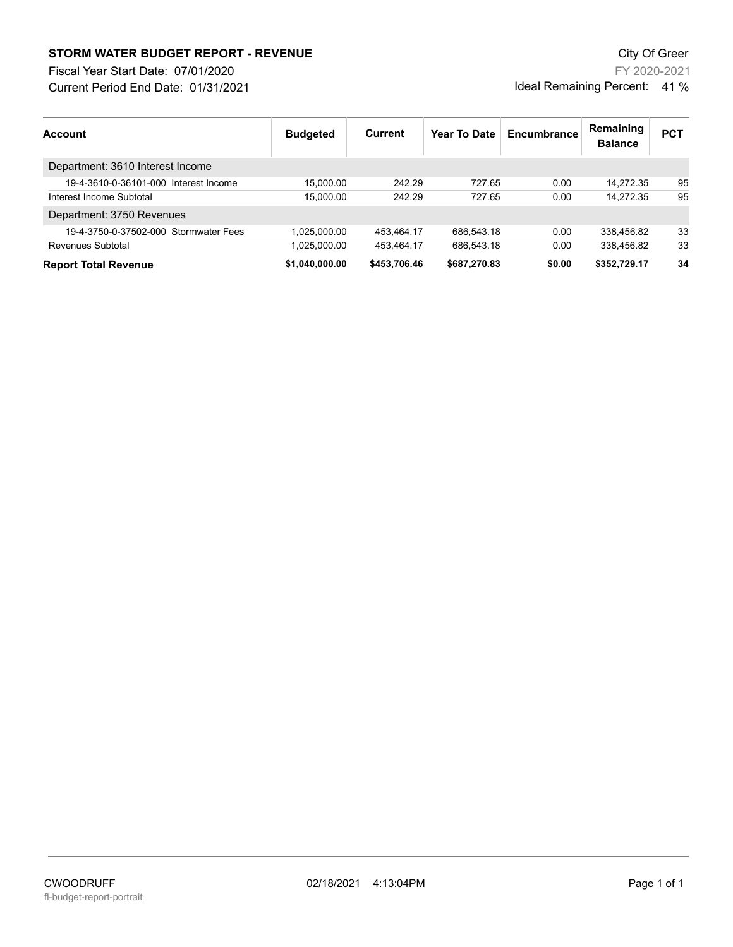## **STORM WATER BUDGET REPORT - REVENUE CONSUMPTER BUDGET REPORT - REVENUE**

Current Period End Date: 01/31/2021 Fiscal Year Start Date: 07/01/2020

| Account                               | <b>Budgeted</b> | Current      | Year To Date | Encumbrance | Remaining<br><b>Balance</b> | <b>PCT</b> |
|---------------------------------------|-----------------|--------------|--------------|-------------|-----------------------------|------------|
| Department: 3610 Interest Income      |                 |              |              |             |                             |            |
| 19-4-3610-0-36101-000 Interest Income | 15.000.00       | 242.29       | 727.65       | 0.00        | 14.272.35                   | 95         |
| Interest Income Subtotal              | 15.000.00       | 242.29       | 727.65       | 0.00        | 14.272.35                   | 95         |
| Department: 3750 Revenues             |                 |              |              |             |                             |            |
| 19-4-3750-0-37502-000 Stormwater Fees | 1.025.000.00    | 453.464.17   | 686,543.18   | 0.00        | 338,456.82                  | 33         |
| Revenues Subtotal                     | 1,025,000.00    | 453.464.17   | 686,543.18   | 0.00        | 338.456.82                  | 33         |
| <b>Report Total Revenue</b>           | \$1,040,000.00  | \$453,706.46 | \$687,270.83 | \$0.00      | \$352,729.17                | 34         |